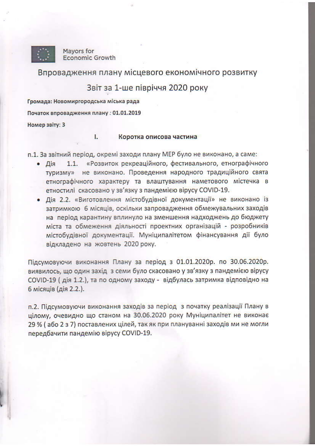

Mayors for **Economic Growth** 

## Впровадження плану місцевого економічного розвитку

## Звіт за 1-ше півріччя 2020 року

Громада: Новомиргородська міська рада

Початок впровадження плану: 01.01.2019

Номер звіту: 3

## I. Коротка описова частина

п.1. За звітний період, окремі заходи плану МЕР було не виконано, а саме:

- «Розвиток рекреаційного, фестивального, етнографічного  $1.1.$ • Дія туризму» не виконано. Проведення народного традиційного свята етнографічного характеру та влаштування наметового містечка в етностилі скасовано у зв'язку з пандемією вірусу COVID-19.
- Дія 2.2. «Виготовлення містобудівної документації» не виконано із затримкою 6 місяців, оскільки запровадження обмежувальних заходів на період карантину вплинуло на зменшення надходжень до бюджету міста та обмеження діяльності проектних організацій - розробників містобудівної документації. Муніципалітетом фінансування дії було відкладено на жовтень 2020 року.

Підсумовуючи виконання Плану за період з 01.01.2020р. по 30.06.2020р. виявилось, що один захід з семи було скасовано у зв'язку з пандемією вірусу COVID-19 (дія 1.2.), та по одному заходу - відбулась затримка відповідно на 6 місяців (дія 2.2.).

п.2. Підсумовуючи виконання заходів за період з початку реалізації Плану в цілому, очевидно що станом на 30.06.2020 року Муніципалітет не виконає 29 % (або 2 з 7) поставлених цілей, так як при плануванні заходів ми не могли передбачити пандемію вірусу COVID-19.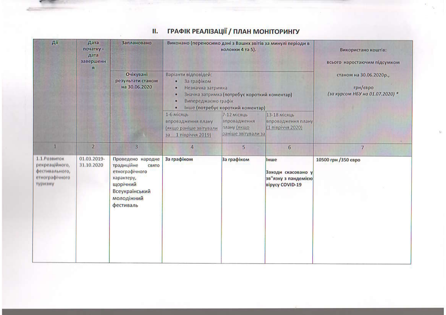| Дü                                                                             | Дата<br>початку -<br>дата<br>завершенн<br>я | Заплановано                                                                                                                       | Виконано (переносимо дані з Ваших звітів за минулі періоди в                                       | колонки 4 та 5).                                                                  | Використано коштів:<br>всього наростаючим підсумком                         |                                                                        |
|--------------------------------------------------------------------------------|---------------------------------------------|-----------------------------------------------------------------------------------------------------------------------------------|----------------------------------------------------------------------------------------------------|-----------------------------------------------------------------------------------|-----------------------------------------------------------------------------|------------------------------------------------------------------------|
|                                                                                |                                             | Очікувані<br>результати станом<br>на 30.06.2020                                                                                   | Варіанти відповідей:<br>За графіком<br>٠<br>Незначна затримка<br>Випереджаємо графік<br>٠          | Значна затримка (потребує короткий коментар)<br>Інше (потребує короткий коментар) |                                                                             | станом на 30.06.2020р.,<br>грн/євро<br>(за курсом НБУ на 01.07.2020) * |
|                                                                                |                                             |                                                                                                                                   | 1-6 місяць<br>впровадження плану.<br>(якщо раніше звітували<br>1 nisplaus 2019)<br>33 <sub>1</sub> | 7-12 місяць<br>впровадження<br>плану (якщо<br>раніше звітували за                 | 13-18 місяць<br>впровадження плану<br>(1 півріччя 2020)                     |                                                                        |
|                                                                                | $\overline{2}$                              | $\overline{3}$                                                                                                                    | $\overline{4}$                                                                                     | 5                                                                                 | 6 <sup>1</sup>                                                              | $\overline{7}$                                                         |
| 1.1. Розвиток<br>рекреаційного,<br>фестивального,<br>етнографічного<br>туризму | 01.03.2019-<br>31.10.2020                   | Проведено народне<br>традиційне<br>свято<br>етнографічного<br>характеру,<br>щорічний<br>Всеукраїнський<br>молодіжний<br>фестиваль | За графіком                                                                                        | За графіком                                                                       | Інше<br>Заходи скасовано у<br>зв"язку з пандемією<br><b>Bipycy COVID-19</b> | 10500 грн /350 євро                                                    |

## **II. ГРАФІК РЕАЛІЗАЦІЇ / ПЛАН МОНІТОРИНГУ**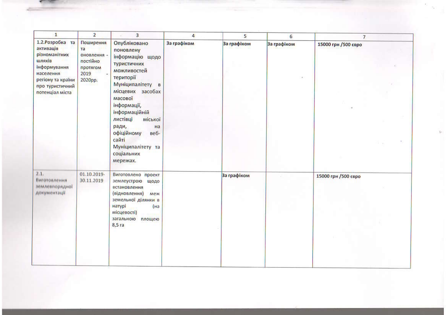| $\mathbf{1}$                                                                                                                                     | $\overline{2}$                                                                   | 3                                                                                                                                                                                                                                                                                                     | 4           | 5           | 6           | $\overline{7}$      |
|--------------------------------------------------------------------------------------------------------------------------------------------------|----------------------------------------------------------------------------------|-------------------------------------------------------------------------------------------------------------------------------------------------------------------------------------------------------------------------------------------------------------------------------------------------------|-------------|-------------|-------------|---------------------|
| 1.2. Розробка та<br>активація<br>різноманітних<br>шляхів<br>інформування<br>населення<br>регіону та країни<br>про туристичний<br>потенціал міста | Поширення<br><b>Ta</b><br>оновлення -<br>постійно<br>протягом<br>2019<br>2020pp. | Опубліковано<br>поновлену<br>інформацію щодо<br>туристичних<br>можливостей<br>території<br>Муніципалітету в<br>місцевих засобах<br>масової<br>інформації,<br>інформаційній<br>листівці<br><b>Міської</b><br>ради,<br>Ha<br>офіційному<br>веб-<br>сайті<br>Муніципалітету та<br>соціальних<br>мережах. | За графіком | За графіком | За графіком | 15000 грн /500 євро |
| 2,1,<br>Виготовлення<br>землевпорядної<br>документації                                                                                           | 01.10.2019-<br>30.11.2019                                                        | Виготовлено проект<br>землеустрою<br>щодо<br>встановлення<br>(відновлення)<br>меж<br>земельної ділянки в<br>натурі<br>(на<br>місцевості)<br>загальною<br>площею<br>$8,5$ ra                                                                                                                           |             | За графіком |             | 15000 грн /500 євро |

 $\mathbf{b}$ 

**Contract Contract Contract**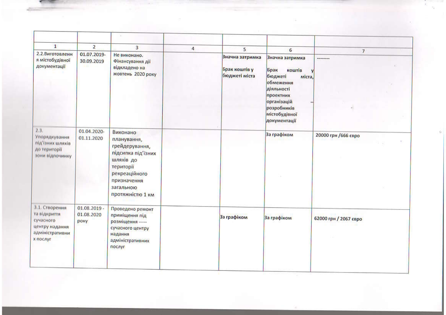| $\mathbf{1}$                                                                                 | $\overline{\mathbf{z}}$              | 3                                                                                                                                                          |                |                                                   |                                                                                                                                                                    |                       |
|----------------------------------------------------------------------------------------------|--------------------------------------|------------------------------------------------------------------------------------------------------------------------------------------------------------|----------------|---------------------------------------------------|--------------------------------------------------------------------------------------------------------------------------------------------------------------------|-----------------------|
| 2.2.Виготовленн                                                                              | 01.07.2019-                          |                                                                                                                                                            | $\overline{4}$ | 5                                                 | 6                                                                                                                                                                  | $\overline{7}$        |
| я містобудівної<br>документації                                                              | 30.09.2019                           | Не виконано.<br>Фінансування дії<br>відкладено на<br>жовтень 2020 року                                                                                     |                | Значна затримка<br>Брак коштів у<br>бюджеті міста | Значна затримка<br>Брак<br>коштів<br>v<br>бюджеті<br>міста,<br>обмеження<br>діяльності<br>проектних<br>організацій<br>розробників<br>містобудівної<br>документації | ********              |
| 2.3.<br>Упорядкування<br>під'їзних шляхів<br>до території<br>зони відпочинку                 | 01.04.2020-<br>01.11.2020            | Виконано<br>планування,<br>грейдерування,<br>підсипка під'їзних<br>шляхів до<br>території<br>рекреаційного<br>призначення<br>загальною<br>протяжністю 1 км |                |                                                   | За графіком                                                                                                                                                        | 20000 грн /666 євро   |
| 3.1. Створення<br>та відкриття<br>сучасного<br>центру надання<br>адміністративни<br>х послуг | $01.08.2019 -$<br>01.08.2020<br>року | Проведено ремонт<br>приміщення під<br>розміщення -----<br>сучасного центру<br>надання<br>адміністративних<br>послуг                                        |                | За графіком                                       | За графіком                                                                                                                                                        | 62000 грн / 2067 євро |